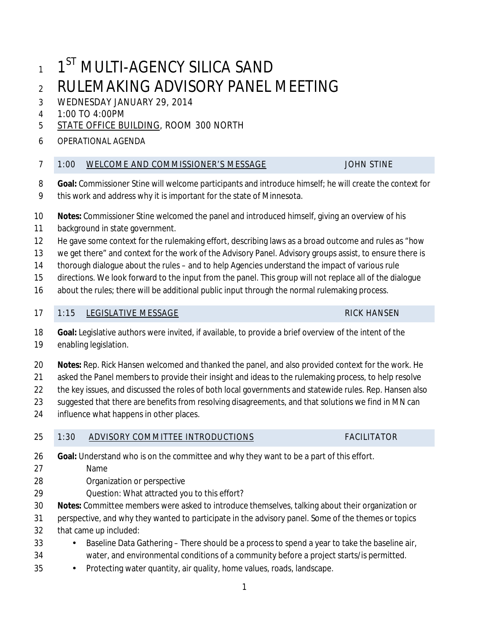# 1 1<sup>ST</sup> MULTI-AGENCY SILICA SAND RULEMAKING ADVISORY PANEL MEETING

# WEDNESDAY JANUARY 29, 2014

1:00 TO 4:00PM

# [STATE OFFICE BUILDING,](http://www.gis.leg.mn/html/directions.html) ROOM 300 NORTH

## OPERATIONAL AGENDA

### 7 1:00 WELCOME AND COMMISSIONER'S MESSAGE JOHN STINE

- **Goal:** Commissioner Stine will welcome participants and introduce himself; he will create the context for
- this work and address why it is important for the state of Minnesota.
- **Notes:** Commissioner Stine welcomed the panel and introduced himself, giving an overview of his
- background in state government.
- He gave some context for the rulemaking effort, describing laws as a broad outcome and rules as "how
- 13 we get there" and context for the work of the Advisory Panel. Advisory groups assist, to ensure there is
- thorough dialogue about the rules and to help Agencies understand the impact of various rule
- directions. We look forward to the input from the panel. This group will not replace all of the dialogue
- about the rules; there will be additional public input through the normal rulemaking process.

## 17 1:15 LEGISLATIVE MESSAGE RICK HANSEN

- **Goal:** Legislative authors were invited, if available, to provide a brief overview of the intent of the enabling legislation.
- **Notes:** Rep. Rick Hansen welcomed and thanked the panel, and also provided context for the work. He
- asked the Panel members to provide their insight and ideas to the rulemaking process, to help resolve
- 22 the key issues, and discussed the roles of both local governments and statewide rules. Rep. Hansen also
- suggested that there are benefits from resolving disagreements, and that solutions we find in MN can
- influence what happens in other places.

# 25 1:30 ADVISORY COMMITTEE INTRODUCTIONS FACILITATOR

- **Goal:** Understand who is on the committee and why they want to be a part of this effort.
- Name
- Organization or perspective
- Question: What attracted you to this effort?
- **Notes:** Committee members were asked to introduce themselves, talking about their organization or
- perspective, and why they wanted to participate in the advisory panel. Some of the themes or topics
- that came up included:
- 33 Baseline Data Gathering There should be a process to spend a year to take the baseline air, water, and environmental conditions of a community before a project starts/is permitted.
- 35 Protecting water quantity, air quality, home values, roads, landscape.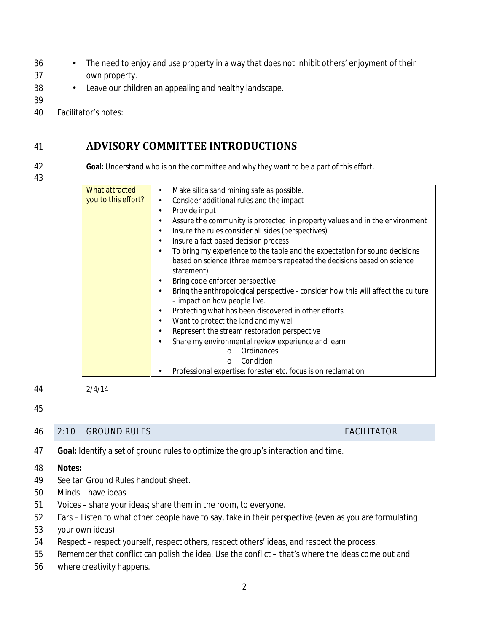- 36 The need to enjoy and use property in a way that does not inhibit others' enjoyment of their
- 37 own property.
- 38 Leave our children an appealing and healthy landscape.
- 39
- 40 Facilitator's notes:

# 41 **ADVISORY COMMITTEE INTRODUCTIONS**

43

42 **Goal:** Understand who is on the committee and why they want to be a part of this effort.

What attracted Make silica sand mining safe as possible.  $\bullet$ you to this effort? Consider additional rules and the impact Provide input Assure the community is protected; in property values and in the environment l. Insure the rules consider all sides (perspectives) Insure a fact based decision process To bring my experience to the table and the expectation for sound decisions based on science (three members repeated the *decisions based on science*  statement) Bring code enforcer perspective Bring the anthropological perspective - consider how this will affect the culture  $\epsilon$ – impact on how people live. Protecting what has been discovered in other efforts ÷. Want to protect the land and my well  $\mathbf{r}$ Represent the stream restoration perspective Share my environmental review experience and learn t, o Ordinances o Condition Professional expertise: forester etc. focus is on reclamation

44 2/4/14

# 45

### 46 2:10 GROUND RULES FACILITATOR

- 47 **Goal:** Identify a set of ground rules to optimize the group's interaction and time.
- 48 **Notes:**
- 49 See tan Ground Rules handout sheet.
- 50 Minds have ideas
- 51 Voices share your ideas; share them in the room, to everyone.
- 52 Ears Listen to what other people have to say, take in their perspective (even as you are formulating
- 53 your own ideas)
- 54 Respect respect yourself, respect others, respect others' ideas, and respect the process.
- 55 Remember that conflict can polish the idea. Use the conflict that's where the ideas come out and
- 56 where creativity happens.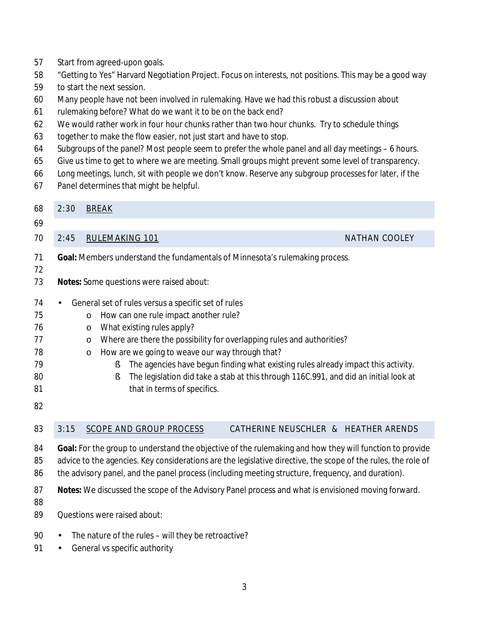| 58<br>59                                           | "Getting to Yes" Harvard Negotiation Project. Focus on interests, not positions. This may be a good way                                                                                                                                                                                                                                                                                                                                                                                                                                                                                                                                                                                                                           |  |  |  |
|----------------------------------------------------|-----------------------------------------------------------------------------------------------------------------------------------------------------------------------------------------------------------------------------------------------------------------------------------------------------------------------------------------------------------------------------------------------------------------------------------------------------------------------------------------------------------------------------------------------------------------------------------------------------------------------------------------------------------------------------------------------------------------------------------|--|--|--|
| 60<br>61<br>62<br>63<br>64<br>65<br>66<br>67       | to start the next session.<br>Many people have not been involved in rulemaking. Have we had this robust a discussion about<br>rulemaking before? What do we want it to be on the back end?<br>We would rather work in four hour chunks rather than two hour chunks. Try to schedule things<br>together to make the flow easier, not just start and have to stop.<br>Subgroups of the panel? Most people seem to prefer the whole panel and all day meetings – 6 hours.<br>Give us time to get to where we are meeting. Small groups might prevent some level of transparency.<br>Long meetings, lunch, sit with people we don't know. Reserve any subgroup processes for later, if the<br>Panel determines that might be helpful. |  |  |  |
| 68                                                 | 2:30<br><b>BREAK</b>                                                                                                                                                                                                                                                                                                                                                                                                                                                                                                                                                                                                                                                                                                              |  |  |  |
| 69                                                 |                                                                                                                                                                                                                                                                                                                                                                                                                                                                                                                                                                                                                                                                                                                                   |  |  |  |
| 70                                                 | 2:45<br>RULEMAKING 101<br><b>NATHAN COOLEY</b>                                                                                                                                                                                                                                                                                                                                                                                                                                                                                                                                                                                                                                                                                    |  |  |  |
| 71<br>72                                           | Goal: Members understand the fundamentals of Minnesota's rulemaking process.                                                                                                                                                                                                                                                                                                                                                                                                                                                                                                                                                                                                                                                      |  |  |  |
| 73                                                 | Notes: Some questions were raised about:                                                                                                                                                                                                                                                                                                                                                                                                                                                                                                                                                                                                                                                                                          |  |  |  |
| 74<br>75<br>76<br>77<br>78<br>79<br>80<br>81<br>82 | General set of rules versus a specific set of rules<br>$\blacksquare$<br>How can one rule impact another rule?<br>$\circ$<br>What existing rules apply?<br>$\circ$<br>Where are there the possibility for overlapping rules and authorities?<br>$\circ$<br>How are we going to weave our way through that?<br>$\circ$<br>The agencies have begun finding what existing rules already impact this activity.<br>ş<br>The legislation did take a stab at this through 116C.991, and did an initial look at<br>ş<br>that in terms of specifics.                                                                                                                                                                                       |  |  |  |
| 83                                                 | 3:15<br><b>SCOPE AND GROUP PROCESS</b><br>CATHERINE NEUSCHLER & HEATHER ARENDS                                                                                                                                                                                                                                                                                                                                                                                                                                                                                                                                                                                                                                                    |  |  |  |
| 84<br>85<br>86                                     | Goal: For the group to understand the objective of the rulemaking and how they will function to provide<br>advice to the agencies. Key considerations are the legislative directive, the scope of the rules, the role of<br>the advisory panel, and the panel process (including meeting structure, frequency, and duration).                                                                                                                                                                                                                                                                                                                                                                                                     |  |  |  |
| 87<br>88<br>89                                     | Notes: We discussed the scope of the Advisory Panel process and what is envisioned moving forward.<br>Questions were raised about:                                                                                                                                                                                                                                                                                                                                                                                                                                                                                                                                                                                                |  |  |  |
| 90<br>91                                           | The nature of the rules - will they be retroactive?<br>General vs specific authority                                                                                                                                                                                                                                                                                                                                                                                                                                                                                                                                                                                                                                              |  |  |  |

Start from agreed-upon goals.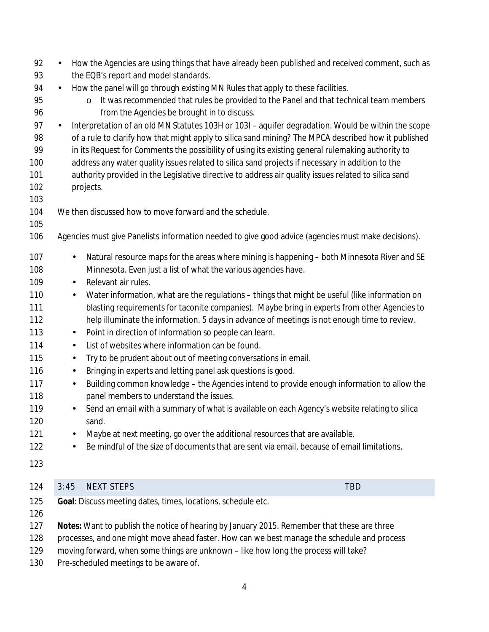| 92<br>93   |                                                                                                      | How the Agencies are using things that have already been published and received comment, such as<br>the EQB's report and model standards.                                                             |  |  |
|------------|------------------------------------------------------------------------------------------------------|-------------------------------------------------------------------------------------------------------------------------------------------------------------------------------------------------------|--|--|
| 94         | ×.                                                                                                   | How the panel will go through existing MN Rules that apply to these facilities.                                                                                                                       |  |  |
| 95<br>96   |                                                                                                      | It was recommended that rules be provided to the Panel and that technical team members<br>$\circ$<br>from the Agencies be brought in to discuss.                                                      |  |  |
| 97         | $\blacksquare$                                                                                       | Interpretation of an old MN Statutes 103H or 103I - aquifer degradation. Would be within the scope                                                                                                    |  |  |
| 98         |                                                                                                      | of a rule to clarify how that might apply to silica sand mining? The MPCA described how it published                                                                                                  |  |  |
| 99<br>100  |                                                                                                      | in its Request for Comments the possibility of using its existing general rulemaking authority to<br>address any water quality issues related to silica sand projects if necessary in addition to the |  |  |
| 101        | authority provided in the Legislative directive to address air quality issues related to silica sand |                                                                                                                                                                                                       |  |  |
| 102        | projects.                                                                                            |                                                                                                                                                                                                       |  |  |
| 103        |                                                                                                      |                                                                                                                                                                                                       |  |  |
| 104        |                                                                                                      | We then discussed how to move forward and the schedule.                                                                                                                                               |  |  |
| 105        |                                                                                                      |                                                                                                                                                                                                       |  |  |
| 106        |                                                                                                      | Agencies must give Panelists information needed to give good advice (agencies must make decisions).                                                                                                   |  |  |
| 107        | ä,                                                                                                   | Natural resource maps for the areas where mining is happening - both Minnesota River and SE                                                                                                           |  |  |
| 108        |                                                                                                      | Minnesota. Even just a list of what the various agencies have.                                                                                                                                        |  |  |
| 109        | $\blacksquare$                                                                                       | Relevant air rules.                                                                                                                                                                                   |  |  |
| 110        | ä,                                                                                                   | Water information, what are the regulations - things that might be useful (like information on                                                                                                        |  |  |
| 111        |                                                                                                      | blasting requirements for taconite companies). Maybe bring in experts from other Agencies to                                                                                                          |  |  |
| 112        |                                                                                                      | help illuminate the information. 5 days in advance of meetings is not enough time to review.                                                                                                          |  |  |
| 113        | $\blacksquare$                                                                                       | Point in direction of information so people can learn.                                                                                                                                                |  |  |
| 114        | $\blacksquare$                                                                                       | List of websites where information can be found.                                                                                                                                                      |  |  |
| 115        | ٠                                                                                                    | Try to be prudent about out of meeting conversations in email.                                                                                                                                        |  |  |
| 116        | $\blacksquare$                                                                                       | Bringing in experts and letting panel ask questions is good.                                                                                                                                          |  |  |
| 117<br>118 | ٠                                                                                                    | Building common knowledge - the Agencies intend to provide enough information to allow the<br>panel members to understand the issues.                                                                 |  |  |
| 119        | ٠                                                                                                    | Send an email with a summary of what is available on each Agency's website relating to silica                                                                                                         |  |  |
| 120        |                                                                                                      | sand.                                                                                                                                                                                                 |  |  |
| 121        | $\blacksquare$                                                                                       | Maybe at next meeting, go over the additional resources that are available.                                                                                                                           |  |  |
| 122        | ٠                                                                                                    | Be mindful of the size of documents that are sent via email, because of email limitations.                                                                                                            |  |  |
| 123        |                                                                                                      |                                                                                                                                                                                                       |  |  |
| 124        | 3:45                                                                                                 | TBD<br><b>NEXT STEPS</b>                                                                                                                                                                              |  |  |
| 125        |                                                                                                      | Goal: Discuss meeting dates, times, locations, schedule etc.                                                                                                                                          |  |  |
| 126        |                                                                                                      |                                                                                                                                                                                                       |  |  |
| 127        |                                                                                                      | Notes: Want to publish the notice of hearing by January 2015. Remember that these are three                                                                                                           |  |  |
| 128        | processes, and one might move ahead faster. How can we best manage the schedule and process          |                                                                                                                                                                                                       |  |  |
| 129        | moving forward, when some things are unknown - like how long the process will take?                  |                                                                                                                                                                                                       |  |  |
| 130        |                                                                                                      | Pre-scheduled meetings to be aware of.                                                                                                                                                                |  |  |